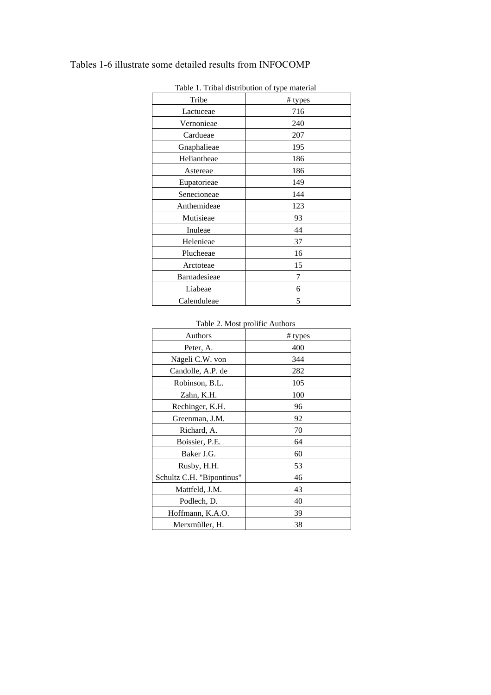## Tables 1-6 illustrate some detailed results from INFOCOMP

| Tribe        | # types |
|--------------|---------|
| Lactuceae    | 716     |
| Vernonieae   | 240     |
| Cardueae     | 207     |
| Gnaphalieae  | 195     |
| Heliantheae  | 186     |
| Astereae     | 186     |
| Eupatorieae  | 149     |
| Senecioneae  | 144     |
| Anthemideae  | 123     |
| Mutisieae    | 93      |
| Inuleae      | 44      |
| Helenieae    | 37      |
| Plucheeae    | 16      |
| Arctoteae    | 15      |
| Barnadesieae | 7       |
| Liabeae      | 6       |
| Calenduleae  | 5       |

Table 1. Tribal distribution of type material

Table 2. Most prolific Authors

| Authors                   | # types |  |
|---------------------------|---------|--|
| Peter, A.                 | 400     |  |
| Nägeli C.W. von           | 344     |  |
| Candolle, A.P. de         | 282     |  |
| Robinson, B.L.            | 105     |  |
| Zahn, K.H.                | 100     |  |
| Rechinger, K.H.           | 96      |  |
| Greenman, J.M.            | 92      |  |
| Richard, A.               | 70      |  |
| Boissier, P.E.            | 64      |  |
| Baker J.G.                | 60      |  |
| Rusby, H.H.               | 53      |  |
| Schultz C.H. "Bipontinus" | 46      |  |
| Mattfeld, J.M.            | 43      |  |
| Podlech, D.               | 40      |  |
| Hoffmann, K.A.O.          | 39      |  |
| Merxmüller, H.            | 38      |  |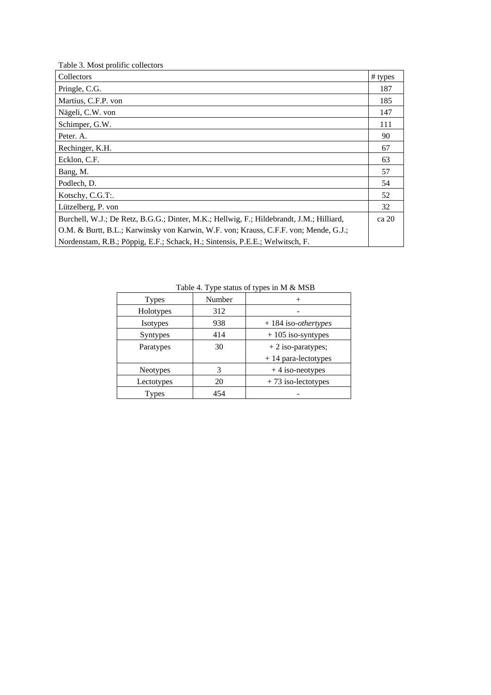| Table 3. Most prolific collectors                                                        |         |
|------------------------------------------------------------------------------------------|---------|
| Collectors                                                                               | # types |
| Pringle, C.G.                                                                            | 187     |
| Martius, C.F.P. von                                                                      | 185     |
| Nägeli, C.W. von                                                                         | 147     |
| Schimper, G.W.                                                                           | 111     |
| Peter. A.                                                                                | 90      |
| Rechinger, K.H.                                                                          | 67      |
| Ecklon, C.F.                                                                             | 63      |
| Bang, M.                                                                                 | 57      |
| Podlech, D.                                                                              | 54      |
| Kotschy, C.G.T:.                                                                         | 52      |
| Lützelberg, P. von                                                                       | 32      |
| Burchell, W.J.; De Retz, B.G.G.; Dinter, M.K.; Hellwig, F.; Hildebrandt, J.M.; Hilliard, | ca 20   |
| O.M. & Burtt, B.L.; Karwinsky von Karwin, W.F. von; Krauss, C.F.F. von; Mende, G.J.;     |         |
| Nordenstam, R.B.; Pöppig, E.F.; Schack, H.; Sintensis, P.E.E.; Welwitsch, F.             |         |

Table 4. Type status of types in M & MSB

| <b>Types</b> | Number |                               |
|--------------|--------|-------------------------------|
| Holotypes    | 312    |                               |
| Isotypes     | 938    | $+184$ iso- <i>othertypes</i> |
| Syntypes     | 414    | $+105$ iso-syntypes           |
| Paratypes    | 30     | $+2$ iso-paratypes;           |
|              |        | $+14$ para-lectotypes         |
| Neotypes     | 3      | $+4$ iso-neotypes             |
| Lectotypes   | 20     | $+73$ iso-lectotypes          |
| Types        | 454    |                               |